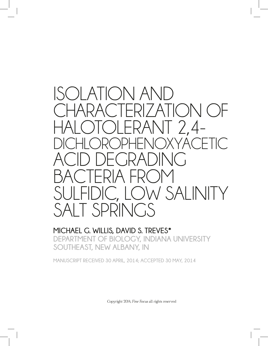

#### **MICHAEL G. WILLIS, DAVID S. TREVES\* DEPARTMENT OF BIOLOGY, INDIANA UNIVERSITY SOUTHEAST, NEW ALBANY, IN**

**MANUSCRIPT RECEIVED 30 APRIL, 2014; ACCEPTED 30 MAY, 2014**

Copyright 2014, *Fine Focus* all rights reserved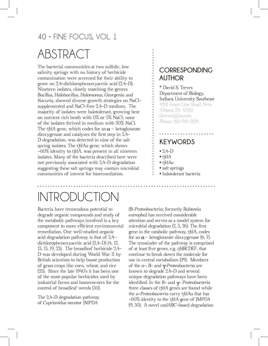# ABSTRACT

The bacterial communities at two sulfidic, low salinity springs with no history of herbicide contamination were screened for their ability to grow on 2,4-dichlorophenoxyacetic acid (2,4-D). Nineteen isolates, closely matching the genera *Bacillus*, *Halobacillus*, *Halomonas*, *Georgenia* and *Kocuria*, showed diverse growth strategies on NaClsupplemented and NaCl-free 2,4-D medium. The majority of isolates were halotolerant, growing best on nutrient rich broth with 0% or 5% NaCl; none of the isolates thrived in medium with 20% NaCl. The *tfdA* gene, which codes for an  $\alpha$  – ketoglutarate dioxygenase and catalyzes the frst step in 2,4- D degradation, was detected in nine of the salt spring isolates. The *tfdAa* gene, which shows ~60% identity to *tfdA*, was present in all nineteen isolates. Many of the bacteria described here were not previously associated with 2,4-D degradation suggesting these salt springs may contain microbial communities of interest for bioremediation.

#### **CORRESPONDING AUTHOR**

\* David S. Treves Department of Biology, Indiana University Southeast 4201 Grant Line Road, New Albany, IN, 47150 dtreves@ius.edu Phone: 812-941-2129.

#### **KEYWORDS**

- $2.4-D$
- *tfdA*
- *tfdAa*
- salt springs
- halotolerant bacteria

# INTRODUCTION

Bacteria have tremendous potential to degrade organic compounds and study of the metabolic pathways involved is a key component to more efficient environmental remediation. One well-studied organic acid degradation pathway is that of 2,4– dichlorophenoxyacetic acid (2,4-D) (4, 12, 13, 15, 19, 23). The broadleaf herbicide 2,4- D was developed during World War II by British scientists to help boost production of grass crops like corn, wheat, and rice (23). Since the late 1940's it has been one of the most popular herbicides used by industrial farms and homeowners for the control of broadleaf weeds (30).

The 2,4-D degradation pathway of *Cupriavidus necator* JMP134

(B-*Proteobacteria*; formerly *Ralstonia eutropha*) has received considerable attention and serves as a model system for microbial degradation (2, 3, 26). The frst gene in the catabolic pathway, *tfdA*, codes for an  $\alpha$  – ketoglutarate dioxygenase (6, 7). The remainder of the pathway is comprised of at least fve genes, e.g. *tfdBCDEF*, that continue to break down the molecule for use in central metabolism (29). Members of the *a-, B-* and *y-Proteobacteria* are known to degrade 2,4-D and several unique degradation pathways have been identifed. In the B- and y- *Proteobacteria* three classes of *tfdA* genes are found while the *a-Proteobacteria* carry *tfdAa* that has ~60% identity to the *tfdA* gene of JMP134 (9, 30). A novel *cadABC*-based degradation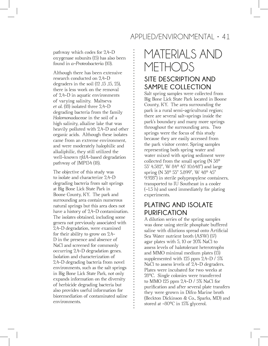pathway which codes for 2,4-D oxygenase subunits (15) has also been found in *a-Proteobacteria* (10).

Although there has been extensive research conducted on 2,4-D degraders in the soil (12 ,13 ,15, 23), there is less work on the removal of 2,4-D in aquatic environments of varying salinity. Maltseva *et al.* (18) isolated three 2,4-D degrading bacteria from the family *Halomonadaceae* in the soil of a high salinity, alkaline lake that was heavily polluted with 2,4-D and other organic acids. Although these isolates came from an extreme environment, and were moderately halophilic and alkaliphilic, they still utilized the well-known *tfdA*-based degradation pathway of JMP134 (18).

The objective of this study was to isolate and characterize 2,4-D degrading bacteria from salt springs at Big Bone Lick State Park in Boone County, KY. The park and surrounding area contain numerous natural springs but this area does not have a history of 2,4-D contamination. The isolates obtained, including some genera not previously associated with 2,4-D degradation, were examined for their ability to grow on 2,4- D in the presence and absence of NaCl and screened for commonly occurring 2,4-D degradation genes. Isolation and characterization of 2,4-D degrading bacteria from novel environments, such as the salt springs in Big Bone Lick State Park, not only expands information on the diversity of herbicide degrading bacteria but also provides useful information for bioremediation of contaminated saline environments.

# MATERIALS AND METHODS

#### **SITE DESCRIPTION AND SAMPLE COLLECTION**

Salt spring samples were collected from Big Bone Lick State Park located in Boone County, KY. The area surrounding the park is a rural semi-agricultural region; there are several salt-springs inside the park's boundary and many more springs throughout the surrounding area. Two springs were the focus of this study because they are easily accessed from the park visitor center. Spring samples representing both spring water and water mixed with spring sediment were collected from the small spring (N 38° 53' 4.582", W 84° 45' 10.648") and large spring (N 38° 53" 5.899", W 48° 45" 9.928") in sterile polypropylene containers, transported to IU Southeast in a cooler (~1.5 h) and used immediately for plating experiments.

#### **PLATING AND ISOLATE PURIFICATION**

A dilution series of the spring samples was done using sterile phosphate buffered saline with dilutions spread onto Artifcial Sea Water nutrient broth (ASW) (17) agar plates with 5, 10 or 20% NaCl to assess levels of halotolerant heterotrophs and MMO minimal medium plates (13) supplemented with 125 ppm 2,4-D / 5% NaCl to assess levels of 2,4-D degraders. Plates were incubated for two weeks at 28°C. Single colonies were transferred to MMO 125 ppm 2,4-D / 5% NaCl for purifcation and after several plate transfers they were grown in Difco Marine broth (Beckton Dickinson & Co., Sparks, MD) and stored at -80°C in 15% glycerol.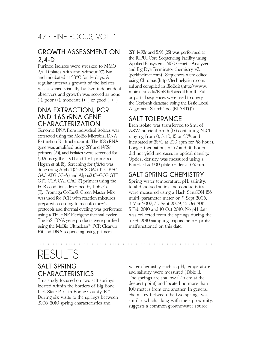#### **GROWTH ASSESSMENT ON 2,4-D**

Purifed isolates were streaked to MMO 2,4-D plates with and without 5% NaCl and incubated at 28°C for 14 days. At regular intervals growth of the isolates was assessed visually by two independent observers and growth was scored as none  $(-)$ , poor  $(+)$ , moderate  $(+)$  or good  $(+++)$ .

#### **DNA EXTRACTION, PCR AND 16S rRNA GENE CHARACTERIZATION**

Genomic DNA from individual isolates was extracted using the MoBio Microbial DNA Extraction Kit (mobio.com). The 16S rRNA gene was amplifed using 27f and 1492r primers (25), and isolates were screened for *tfdA* using the TVU and TVL primers of Hogan *et al.* (8). Screening for *tfdAa* was done using Alpha1 (5'-ACS GAG TTC KSC GAC ATG CG-3') and Alpha2 (5'-GCG GTT GTC CCA CAT CAC-3') primers using the PCR conditions described by Itoh *et al.* (9). Promega GoTaq® Green Master Mix was used for PCR with reaction mixtures prepared according to manufacturer's protocols and thermal cycling was performed using a TECHNE Flexigene thermal cycler. The 16S rRNA gene products were purifed using the MoBio Ultraclean™ PCR Cleanup Kit and DNA sequencing using primers

27f, 1492r and 519f (25) was performed at the IUPUI Core Sequencing Facility using Applied Biosystems 3100 Genetic Analyzers and Big Dye Terminator chemistry v3.1 (perkinelmer.com). Sequences were edited using Chromas (http://technelysium.com. au) and compiled in BioEdit (http://www. mbio.ncsu.edu/BioEdit/bioedit.html). Full or partial sequences were used to query the Genbank database using the Basic Local Alignment Search Tool (BLAST) (1).

#### **SALT TOLERANCE**

Each isolate was transferred to 2ml of ASW nutrient broth (17) containing NaCl ranging from 0, 5, 10, 15 or 20% and incubated at 25°C at 200 rpm for 48 hours. Longer incubations of 72 and 96 hours did not yield increases in optical density. Optical density was measured using a Biotek ELx 800 plate reader at 630nm.

#### **SALT SPRING CHEMISTRY**

Spring water temperature, pH, salinity, total dissolved solids and conductivity were measured using a Hach SensION 156 multi-parameter meter on 9 Sept 2006, 8 Mar 2007, 30 Sept 2009, 16 Oct 2011, 5 Feb 2010 and 10 Oct 2010. No pH data was collected from the springs during the 5 Feb 2010 sampling trip as the pH probe malfunctioned on this date.

## RESULTS **SALT SPRING CHARACTERISTICS**

This study focused on two salt springs located within the borders of Big Bone Lick State Park in Boone County, KY. During six visits to the springs between 2006-2010 spring characteristics and

water chemistry such as pH, temperature and salinity were measured (Table 1). The springs are shallow (~13 cm at the deepest point) and located no more than 100 meters from one another. In general, chemistry between the two springs was similar which, along with their proximity, suggests a common groundwater source.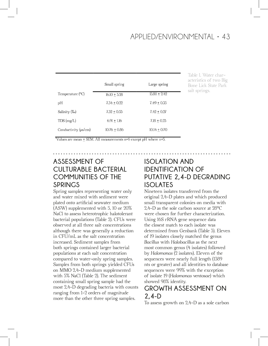| Small spring   | Large spring   |  |
|----------------|----------------|--|
| $16.10 + 3.28$ | $13.88 + 2.42$ |  |
| $7.34 + 0.22$  | $7.49 + 0.35$  |  |
| $7.32 + 0.53$  | $7.42 + 0.27$  |  |
| $6.91 + 1.16$  | $7.18 + 0.23$  |  |
| $10.76 + 0.86$ | $10.14 + 0.70$ |  |
|                |                |  |

Table 1. Water characteristics of two Big Bone Lick State Park salt springs.

Values are mean  $\pm$  SEM. All measurements n=6 except pH where n=5.

#### **ASSESSMENT OF CULTURABLE BACTERIAL COMMUNITIES OF THE SPRINGS**

Spring samples representing water only and water mixed with sediment were plated onto artifcial seawater medium (ASW) supplemented with 5, 10 or 20% NaCl to assess heterotrophic halotolerant bacterial populations (Table 2). CFUs were observed at all three salt concentrations although there was generally a reduction in CFU/mL as the salt concentration increased. Sediment samples from both springs contained larger bacterial populations at each salt concentration compared to water-only spring samples. Samples from both springs yielded CFUs on MMO 2,4-D medium supplemented with 5% NaCl (Table 2). The sediment containing small spring sample had the most 2,4-D degrading bacteria with counts ranging from 1-2 orders of magnitude more than the other three spring samples.

#### **ISOLATION AND IDENTIFICATION OF PUTATIVE 2,4-D DEGRADING ISOLATES**

Nineteen isolates transferred from the original 2,4-D plates and which produced small transparent colonies on media with 2,4-D as the sole carbon source at 28°C were chosen for further characterization. Using 16S rRNA gene sequence data the closest match to each isolate was determined from Genbank (Table 3). Eleven of 19 isolates closely matched the genus *Bacillus* with *Halobacillus* as the next most common genus (4 isolates) followed by *Halomonas* (2 isolates). Eleven of the sequences were nearly full length (1389 nts or greater) and all identities to database sequences were 99% with the exception of isolate 19 (*Halomonas ventosae*) which showed 98% identity.

#### **GROWTH ASSESSMENT ON 2,4-D**

To assess growth on 2,4-D as a sole carbon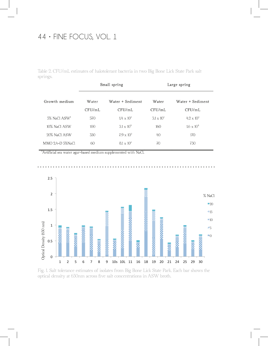Table 2. CFU/mL estimates of halotolerant bacteria in two Big Bone Lick State Park salt springs.

| Small spring     |                     | Large spring      |                     |  |
|------------------|---------------------|-------------------|---------------------|--|
| Water            | Water + Sediment    |                   | Water + Sediment    |  |
| CFU/mL           | CFU/mL              | CFU/mL            | CFU/mL              |  |
| 570              | $1.4 \times 10^{5}$ | $3.1 \times 10^3$ | $4.2 \times 10^5$   |  |
| 100 <sup>o</sup> | $3.1 \times 10^{4}$ | 160               | $1.6 \times 10^{4}$ |  |
| 330              | $7.9 \times 10^{3}$ | 40                | 170                 |  |
| 60               | $8.1 \times 10^5$   | 70                | 730                 |  |
|                  |                     |                   | Water               |  |

<sup>1</sup>Artificial sea water agar-based medium supplemented with NaCl.





Fig. 1. Salt tolerance estimates of isolates from Big Bone Lick State Park. Each bar shows the optical density at 630nm across fve salt concentrations in ASW broth.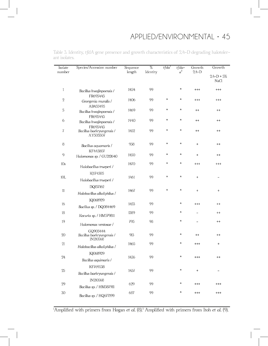| Isolate<br>number | Species/Accession number                          | Sequence<br>length | $\%$<br>Identity | tfda'   | $tfda-$<br>$\alpha^2$ | Growth<br>$2,4-D$                | Growth             |
|-------------------|---------------------------------------------------|--------------------|------------------|---------|-----------------------|----------------------------------|--------------------|
|                   |                                                   |                    |                  |         |                       |                                  | $2,4-D+5%$<br>NaCl |
| 1                 | Bacillus hwajinpoensis /<br>FR695443              | 1454               | 99               |         | $\star$               | $^{+++}$                         | $^{+++}$           |
| $\overline{2}$    | Georgenia muralis /<br>AB455495                   | 1406               | 99               | $\star$ | $\star$               | $^{+++}$                         | $^{+++}$           |
| $\sqrt{5}$        | Bacillus hwajinpoensis /<br>FR695443              | 1469               | 99               | $\star$ | $\star$               | $^{++}$                          | $^{++}$            |
| 6                 | Bacillus hwajinpoensis /<br>FR695443              | 1440               | 99               | $\star$ | $\star$               | $^{++}$                          | $^{++}$            |
| 7                 | Bacillus baekryungensis /<br>AY505507             | 1452               | 99               | $\star$ | $\star$               | $^{++}$                          | $^{++}$            |
| 8                 | Bacillus aquamaris /<br>KF443807                  | 958                | 99               | $\star$ | $\star$               | $\ddot{}$                        | $^{++}$            |
| 9                 | Halomonas sp. / GU212640                          | 1450               | 99               | $\star$ | $\star$               | $\ddot{}$                        | $^{++}$            |
| 10s               | Halobacillus trueperi /                           | 1470               | 99               | $\star$ | $\star$               | $^{+++}$                         | $^{+++}$           |
| 10L               | KJ174505<br>Halobacillus trueperi /               | 1461               | 99               | $\star$ | $\star$               | $\ddot{}$                        |                    |
| $11$              | DQ157162<br>Halobacillus alkaliphilus /           | 1467               | 99               | $\star$ | $\star$               | $\ddot{}$                        | $\ddot{}$          |
| 16                | JQ068929                                          | 1453               | 99               |         | $\star$               | $^{+++}$                         | $^{++}$            |
| 18                | Bacillus sp. / DQ084469                           | 1389               | 99               |         | $\star$               |                                  | $^{++}$            |
| 19                | Kocuria sp. / HM579811                            |                    | 98               |         | $\star$               |                                  |                    |
|                   | Halomonas ventosae /                              | 795                |                  |         |                       |                                  | $^{++}$            |
| 20                | GQ903444<br>Bacillus baekryungensis /<br>JN210568 | 913                | 99               |         | $\star$               | $^{++}$                          | $^{++}$            |
| 21                | Halobacillus alkaliphilus /                       | 1465               | 99               |         | $\star$               | $^{+++}$                         | $\ddot{}$          |
| 24                | JQ068929<br>Bacillus aquimaris /                  | 1436               | 99               |         | $\ast$                | $^{++}$                          | $^{++}$            |
| 25                | KF769538<br>Bacillus baekryungensis /             | 1437               | 99               |         | $\star$               | $\begin{array}{c} + \end{array}$ |                    |
| 29                | JN210568<br>Bacillus sp. / HM587911               | 629                | 99               |         | $\star$               | $^{+++}$                         | $^{+++}$           |
| $30\,$            | Bacillus sp. / HQ677199                           | 687                | 99               |         | $\star$               | $^{+++}$                         | $^{+++}$           |

Table 3. Identity, *tfdA* gene presence and growth characteristics of 2,4-D degrading halotolerant isolates.

l,

1 Amplifed with primers from Hogan *et al.* (8).2 Amplifed with primers from Itoh *et al.* (9).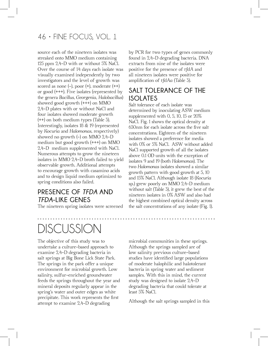source each of the nineteen isolates was streaked onto MMO medium containing 125 ppm 2,4-D with or without 5% NaCl. Over the course of 14 days each isolate was visually examined independently by two investigators and the level of growth was scored as none  $(-)$ , poor  $(+)$ , moderate  $(+)$ or good (+++). Five isolates (represented by the genera *Bacillus*, *Georgenia*, *Halobacillus*) showed good growth (+++) on MMO 2,4-D plates with or without NaCl and four isolates showed moderate growth (++) on both medium types (Table 3). Interestingly, isolates 18 & 19 (represented by *Kocuria* and *Halomonas*, respectively) showed no growth (-) on MMO 2,4-D medium but good growth (+++) on MMO 2,4-D medium supplemented with NaCl. Numerous attempts to grow the nineteen isolates in MMO 2,4-D broth failed to yield observable growth. Additional attempts to encourage growth with casamino acids and to design liquid medium optimized to spring conditions also failed.

#### **PRESENCE OF** *TFDA* **AND**  *TFDA***-LIKE GENES**

The nineteen spring isolates were screened

# DISCUSSION

The objective of this study was to undertake a culture-based approach to examine 2,4-D degrading bacteria in salt springs at Big Bone Lick State Park. The springs in the park offer a unique environment for microbial growth. Low salinity, sulfur-enriched groundwater feeds the springs throughout the year and mineral deposits regularly appear in the spring's water and outer edges as white precipitate. This work represents the frst attempt to examine 2,4-D degrading

by PCR for two types of genes commonly found in 2,4-D degrading bacteria. DNA extracts from nine of the isolates were positive for the presence of *tfdA* and all nineteen isolates were positive for amplifcation of *tfdAa* (Table 3).

#### **SALT TOLERANCE OF THE ISOLATES**

Salt tolerance of each isolate was determined by inoculating ASW medium supplemented with 0, 5, 10, 15 or 20% NaCl. Fig. 1 shows the optical density at 630nm for each isolate across the fve salt concentrations. Eighteen of the nineteen isolates showed a preference for media with 0% or 5% NaCl. ASW without added NaCl supported growth of all the isolates above 0.1 OD units with the exception of isolates 9 and 19 (both *Halomonas*). The two *Halomonas* isolates showed a similar growth pattern with good growth at 5, 10 and 15% NaCl. Although isolate 18 (*Kocuria* sp.) grew poorly on MMO 2,4-D medium without salt (Table 3), it grew the best of the nineteen isolates in 0% ASW and also had the highest combined optical density across the salt concentrations of any isolate (Fig. 1).

microbial communities in these springs. Although the springs sampled are of low salinity previous culture-based studies have identifed large populations of moderate halophilic and halotolerant bacteria in spring water and sediment samples. With this in mind, the current study was designed to isolate 2,4-D degrading bacteria that could tolerate at least 5% NaCl.

Although the salt springs sampled in this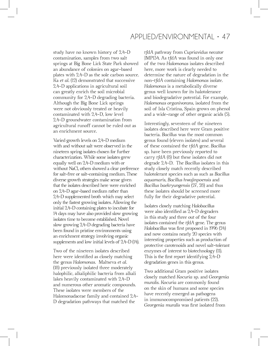study have no known history of 2,4-D contamination, samples from two salt springs at Big Bone Lick State Park showed an abundance of colonies on agar-based plates with 2,4-D as the sole carbon source. Ka *et al.* (12) demonstrated that successive 2,4-D applications in agricultural soil can greatly enrich the soil microbial community for 2,4-D degrading bacteria. Although the Big Bone Lick springs were not obviously treated or heavily contaminated with 2,4-D, low level 2,4-D groundwater contamination from agricultural runoff cannot be ruled out as an enrichment source.

Varied growth levels on 2,4-D medium with and without salt were observed in the nineteen spring isolates chosen for further characterization. While some isolates grew equally well on 2,4-D medium with or without NaCl, others showed a clear preference for salt-free or salt-containing medium. These diverse growth strategies make sense given that the isolates described here were enriched on 2,4-D agar-based medium rather than 2,4-D supplemented broth which may select only the fastest growing isolates. Allowing the initial 2,4-D containing plates to incubate for 14 days may have also provided slow growing isolates time to become established. Novel slow growing 2,4-D degrading bacteria have been found in pristine environments using an enrichment strategy involving organic supplements and low initial levels of 2,4-D (14).

Two of the nineteen isolates described here were identifed as closely matching the genus *Halomonas*. Maltseva *et al.* (18) previously isolated three moderately halophilic, alkaliphilic bacteria from alkali lakes heavily contaminated with 2,4-D and numerous other aromatic compounds. These isolates were members of the Halomonadaceae family and contained 2,4- D degradation pathways that matched the

*tfdA* pathway from *Cupriavidus necator* JMP134. As *tfdA* was found in only one of the two *Halomonas* isolates described here, more work is clearly needed to determine the nature of degradation in the non-*tfdA* containing *Halomonas* isolate. *Halomonas* is a metabolically diverse genus well known for its halotolerance and biodegradative potential. For example, *Halomonas organivorans*, isolated from the soil of Isla Cristina, Spain grows on phenol and a wide-range of other organic acids (5).

Interestingly, seventeen of the nineteen isolates described here were Gram positive bacteria. *Bacillus* was the most common genus found (eleven isolates) and several of these contained the *tfdA* gene. *Bacillus* sp. have been previously reported to carry *tfdA* (8) but these isolates did not degrade 2,4-D. The *Bacillus* isolates in this study closely match recently described halotolerant species such as such as *Bacillus aquamaris*, *Bacillus hwajinpoensis* and *Bacillus baekryungensis* (27, 28) and thus these isolates should be screened more fully for their degradative potential.

Isolates closely matching *Halobacillus* were also identifed as 2,4-D degraders in this study and three out of the four isolates contained the *tfdA* gene. The genus *Halobacillus* was frst proposed in 1996 (24) and now contains nearly 20 species with interesting properties such as production of protective carotenoids and novel salt-tolerant enzymes of interest to biotechnology (11). This is the frst report identifying 2,4-D degradation genes in this genus.

Two additional Gram positive isolates closely matched *Kocuria* sp. and *Georgenia muralis*. *Kocuria* are commonly found on the skin of humans and some species have recently emerged as pathogens in immunocompromised patients (22). *Georgenia muralis* was frst isolated from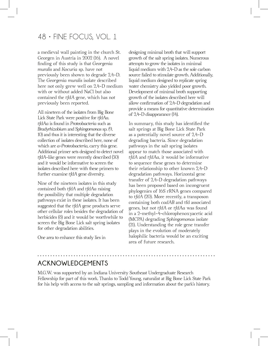a medieval wall painting in the church St. Georgen in Austria in 2002 (16). A novel fnding of this study is that *Georgenia muralis* and *Kocuria* sp. have not previously been shown to degrade 2,4-D. The *Georgenia muralis* isolate described here not only grew well on 2,4-D medium with or without added NaCl but also contained the *tfdA* gene, which has not previously been reported.

All nineteen of the isolates from Big Bone Lick State Park were positive for *tfdAa*. *tfdAa* is found in *Proteobacteria* such as *Bradyrhizobium* and *Sphingomonas* sp. (9, 10) and thus it is interesting that the diverse collection of isolates described here, none of which are *a-Proteobacteria*, carry this gene. Additional primer sets designed to detect novel *tfdA*-like genes were recently described (30) and it would be informative to screen the isolates described here with these primers to further examine *tfdA* gene diversity.

Nine of the nineteen isolates in this study contained both *tfdA* and *tfdAa* raising the possibility that multiple degradation pathways exist in these isolates. It has been suggested that the *tfdA* gene products serve other cellular roles besides the degradation of herbicides (8) and it would be worthwhile to screen the Big Bone Lick salt spring isolates for other degradation abilities.

One area to enhance this study lies in

designing minimal broth that will support growth of the salt spring isolates. Numerous attempts to grow the isolates in minimal liquid medium with 2,4-D as the sole carbon source failed to stimulate growth. Additionally, liquid medium designed to replicate spring water chemistry also yielded poor growth. Development of minimal broth supporting growth of the isolates described here will allow confrmation of 2,4-D degradation and provide a means for quantitative determination of 2,4-D disappearance (14).

In summary, this study has identifed the salt springs at Big Bone Lick State Park as a potentially novel source of 2,4-D degrading bacteria. Since degradation pathways in the salt spring isolates appear to match those associated with *tfdA* and *tfdAa*, it would be informative to sequence these genes to determine their relationship to other known 2,4-D degradation pathways. Horizontal gene transfer of 2,4-D degradation pathways has been proposed based on incongruent phylogenies of 16S rRNA genes compared to *tfdA* (20). More recently, a transposon containing both *cadAB* and tfd associated genes, but not *tfdA* or *tfdAa* was found in a 2-methyl-4-chlorophenoxyacetic acid (MCPA) degrading *Sphingomonas* isolate (21). Understanding the role gene transfer plays in the evolution of moderately halophilic bacteria would be an exciting area of future research.

#### **ACKNOWLEDGEMENTS**

M.G.W. was supported by an Indiana University Southeast Undergraduate Research Fellowship for part of this work. Thanks to Todd Young, naturalist at Big Bone Lick State Park for his help with access to the salt springs, sampling and information about the park's history.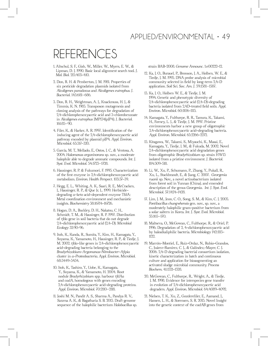## REFERENCES

- 1. Altschul, S. F., Gish, W., Miller, W., Myers, E. W., & Lipman, D. J. 1990. Basic local alignment search tool. *J. Mol. Biol.* 215:403-410.
- 2. Don, R. H. & Pemberton, J. M. 1981. Properties of six pesticide degradation plasmids isolated from *Alcaligenes paradoxus* and *Alcaligenes eutrophus. J. Bacteriol.* 145:681–686.
- 3. Don, R. H., Weightman, A. J., Knackmuss, H. J., & Timmis, K. N. 1985. Transposon mutagenesis and cloning analysis of the pathways for degradation of 2,4-dichlorophenoxyacetic acid and 3-chlorobenzoate in *Alcaligenes eutrophus* JMP134(pJP4). *J. Bacteriol.*  161:85–90.
- 4. Filer, K., & Harker, A. R. 1997. Identifcation of the inducing agent of the 2,4-dichlorophenoxyacetic acid pathway encoded by plasmid pJP4. *Appl. Environ. Microbiol.* 63:317-320.
- 5. García, M. T., Mellado, E., Ostos, J. C., & Ventosa, A. 2004. *Halomonas organivorans* sp. nov., a moderate halophile able to degrade aromatic compounds. *Int. J. Syst. Evol. Microbiol.* 54:1723–1728.
- 6. Hausinger, R. P. & Fukumori, F. 1995. Characterization of the frst enzyme in 2,4-dichlorophenoxyacetic acid metabolism. *Environ. Health Perspect.* 103:37-39.
- 7. Hegg, E. L., Whiting, A. K., Saari, R. E., McCracken, J., Hausinger, R. P., & Que Jr, L. 1999. Herbicidedegrading *a*-keto acid-dependent enzyme TfdA: Metal coordination environment and mechanistic insights. *Biochemistry* 38:16714-16726.
- 8. Hogan, D. A., Buckley, D. H., Nakatsu, C. H., Schmidt, T. M., & Hausinger, R. P. 1997. Distribution of *tfda* gene in soil bacteria that do not degrade 2,4-dichlorophenoxyacetic acid (2,4-D). *Microbial Ecology* 32:90-96.
- 9. Itoh, K., Kanda, R., Sumita, Y., Kim, H., Kamagata, Y., Suyama, K., Yamamoto, H., Hausinger, R. P., & Tiedje, J. M. 2002. *tfda*-like genes in 2,4-dichlorophenoxyacetic acid-degrading bacteria belonging to the *Bradyrhizobium-Argomonas-Nitrobacter-Afpia* cluster in *a*-*Proteobacteria. Appl. Environ. Microbiol.* 68:3449-3454.
- 10. Itoh, K., Tashiro, Y., Uobe, K., Kamagata, Y., Suyama, K., & Yamamoto, H. 2004. Root nodule *Bradyrhizobium* spp. harbour *tfdAa*  and *cadA*, homologous with genes encoding 2,4-dichlorophenoxyacetic acid-degrading proteins. *Appl. Environ. Microbiol.* 70:2110–2118.
- 11. Joshi M. N., Pandit A. S., Sharma A., Pandya R. V., Saxena A. K., & Bagatharia S. B. 2013. Draft genome sequence of the halophilic bacterium *Halobacillus* sp.

strain BAB-2008. *Genome Announc.* 1:e00222-12.

- 12. Ka, J. O., Burauel, P., Bronson, J. A., Holben, W. E., & Tiedje, J. M. 1995. DNA probe analysis of microbial community selected in feld by long-term 2,4-D application. *Soil Sci. Soc. Am. J.* 59:1581–1587.
- 13. Ka, J. O., Holben W. E., & Tiedje, J. M. 1994. Genetic and phenotypic diversity of 2,4-dichlorophenoxyacetic acid (2,4-D)-degrading bacteria isolated from 2,4D-treated feld soils. *Appl. Environ. Microbiol.* 60:1106-1115.
- 14. Kamagata, Y., Fulthorpe, R. R., Tamura, K., Takami, H., Forney, L. J., & Tiedje, J. M. 1997. Pristine environments harbor a new group of oligotrophic 2,4-dichlorophenoxyacetic acid-degrading bacteria. *Appl. Environ. Microbiol.* 63:2266-2272.
- 15. Kitagawa, W., Takami, S., Miyauchi, K., Masai, E., Kamagata, Y., Tiedje, J. M., & Fukuda, M. 2002. Novel 2,4-dichlorophenoxyacetic acid degradation genes from oligotrophic *Bradyrhizobium* sp. strain HW13 isolated from a pristine environment. *J. Bacteriol.*  184:509-518.
- 16. Li, W., Xu, P., Schumann, P., Zhang, Y., Pukall, R., Xu, L., Stackbrandt, E., & Jiang, C. 2007. *Georgenia ruanii* sp. Nov., a novel actinobacterium isolated from forest soil in Yunnan (China), and emended description of the genus *Georgenia. Int. J. Syst. Evol. Microbiol.* 57:1424-1428.
- 17. Lim, J. M., Jeon, C. O., Song, S. M., & Kim, C. J. 2005. *Pontibacillus chungwhensis* gen. nov., sp. nov., a moderately halophilic gram-positive bacterium from a solar saltern in Korea. *Int. J. Syst. Evol. Microbiol.*  55:165–170.
- 18. Maltseva, O., McGowan, C., Fulthorpe, R., & Oriel, P. 1996. Degradation of 2, 4-dichlorophenoxyacetic acid by haloalkaliphilic bacteria. *Microbiology* 142:1115- 1122.
- 19. Marrón-Montiel, E., Ruiz-Ordaz, N., Rubio-Grandos, C., Juárez-Ramírez, C. J., & Galíndez,-Mayer, C. J. 2006. 2,4-D degrading bacterial consortium isolation, kinetic characterization in batch and continuous culture and application for bioaugmenting an activated sludge microbial community. *Process Biochem.* 41:1521-1528.
- 20. McGowan, C., Fulthorpe, R., Wright, A., & Tiedje, J. M. 1998. Evidence for interspecies gene transfer in evolution of 2,4-dichlorophenoxyacetic acid degraders. *Appl. Environ. Microbiol.* 64:4089-4092.
- 21. Nielsen, T. K., Xu, Z., Gozdereliler, E., Aamand, J., Hansen, L. H., & Sorensen, S. R. 2013. Novel Insight into the genetic context of the *cadAB* genes from